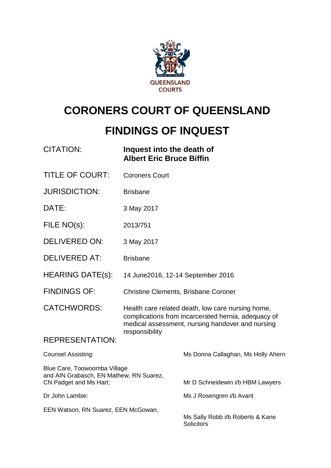

# **CORONERS COURT OF QUEENSLAND**

## **FINDINGS OF INQUEST**

| <b>CITATION:</b>                                                                                  | Inquest into the death of<br><b>Albert Eric Bruce Biffin</b>                                                                                                 |                                                |
|---------------------------------------------------------------------------------------------------|--------------------------------------------------------------------------------------------------------------------------------------------------------------|------------------------------------------------|
| <b>TITLE OF COURT:</b>                                                                            | <b>Coroners Court</b>                                                                                                                                        |                                                |
| <b>JURISDICTION:</b>                                                                              | <b>Brisbane</b>                                                                                                                                              |                                                |
| DATE:                                                                                             | 3 May 2017                                                                                                                                                   |                                                |
| FILE NO(s):                                                                                       | 2013/751                                                                                                                                                     |                                                |
| <b>DELIVERED ON:</b>                                                                              | 3 May 2017                                                                                                                                                   |                                                |
| <b>DELIVERED AT:</b>                                                                              | <b>Brisbane</b>                                                                                                                                              |                                                |
| <b>HEARING DATE(s):</b>                                                                           | 14 June 2016, 12-14 September 2016                                                                                                                           |                                                |
| <b>FINDINGS OF:</b>                                                                               | <b>Christine Clements, Brisbane Coroner</b>                                                                                                                  |                                                |
| <b>CATCHWORDS:</b>                                                                                | Health care related death, low care nursing home,<br>complications from incarcerated hernia, adequacy of<br>medical assessment, nursing handover and nursing |                                                |
| <b>REPRESENTATION:</b>                                                                            | responsibility                                                                                                                                               |                                                |
| <b>Counsel Assisting:</b>                                                                         |                                                                                                                                                              | Ms Donna Callaghan, Ms Holly Ahern             |
| Blue Care, Toowoomba Village<br>and AIN Grabasch, EN Mathew, RN Suarez,<br>CN Padget and Ms Hart: |                                                                                                                                                              | Mr D Schneidewin i/b HBM Lawyers               |
| Dr John Lambie:                                                                                   |                                                                                                                                                              | Ms J Rosengren i/b Avant                       |
| EEN Watson, RN Suarez, EEN McGowan,                                                               |                                                                                                                                                              | Ms Sally Robb i/b Roberts & Kane<br>Solicitors |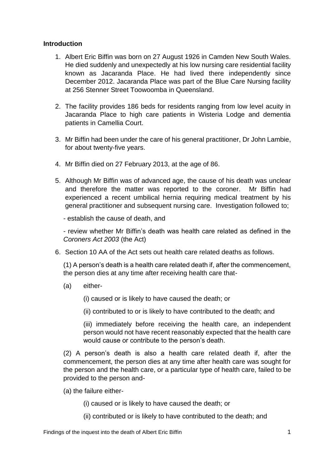## **Introduction**

- 1. Albert Eric Biffin was born on 27 August 1926 in Camden New South Wales. He died suddenly and unexpectedly at his low nursing care residential facility known as Jacaranda Place. He had lived there independently since December 2012. Jacaranda Place was part of the Blue Care Nursing facility at 256 Stenner Street Toowoomba in Queensland.
- 2. The facility provides 186 beds for residents ranging from low level acuity in Jacaranda Place to high care patients in Wisteria Lodge and dementia patients in Camellia Court.
- 3. Mr Biffin had been under the care of his general practitioner, Dr John Lambie, for about twenty-five years.
- 4. Mr Biffin died on 27 February 2013, at the age of 86.
- 5. Although Mr Biffin was of advanced age, the cause of his death was unclear and therefore the matter was reported to the coroner. Mr Biffin had experienced a recent umbilical hernia requiring medical treatment by his general practitioner and subsequent nursing care. Investigation followed to;

- establish the cause of death, and

- review whether Mr Biffin's death was health care related as defined in the *Coroners Act 2003* (the Act)

6. Section 10 AA of the Act sets out health care related deaths as follows.

(1) A person's death is a health care related death if, after the commencement, the person dies at any time after receiving health care that-

(a) either-

(i) caused or is likely to have caused the death; or

(ii) contributed to or is likely to have contributed to the death; and

(iii) immediately before receiving the health care, an independent person would not have recent reasonably expected that the health care would cause or contribute to the person's death.

(2) A person's death is also a health care related death if, after the commencement, the person dies at any time after health care was sought for the person and the health care, or a particular type of health care, failed to be provided to the person and-

(a) the failure either-

(i) caused or is likely to have caused the death; or

(ii) contributed or is likely to have contributed to the death; and

Findings of the inquest into the death of Albert Eric Biffin 1 1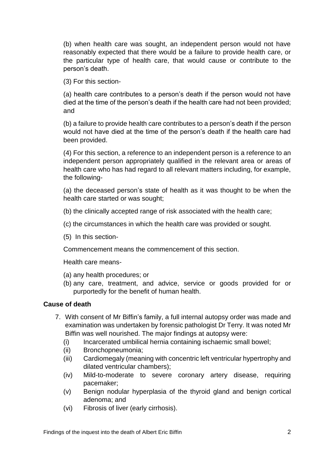(b) when health care was sought, an independent person would not have reasonably expected that there would be a failure to provide health care, or the particular type of health care, that would cause or contribute to the person's death.

(3) For this section-

(a) health care contributes to a person's death if the person would not have died at the time of the person's death if the health care had not been provided; and

(b) a failure to provide health care contributes to a person's death if the person would not have died at the time of the person's death if the health care had been provided.

(4) For this section, a reference to an independent person is a reference to an independent person appropriately qualified in the relevant area or areas of health care who has had regard to all relevant matters including, for example, the following-

(a) the deceased person's state of health as it was thought to be when the health care started or was sought;

(b) the clinically accepted range of risk associated with the health care;

- (c) the circumstances in which the health care was provided or sought.
- (5) In this section-

Commencement means the commencement of this section.

Health care means-

(a) any health procedures; or

(b) any care, treatment, and advice, service or goods provided for or purportedly for the benefit of human health.

## **Cause of death**

- 7. With consent of Mr Biffin's family, a full internal autopsy order was made and examination was undertaken by forensic pathologist Dr Terry. It was noted Mr Biffin was well nourished. The major findings at autopsy were:
	- (i) Incarcerated umbilical hernia containing ischaemic small bowel;
	- (ii) Bronchopneumonia;
	- (iii) Cardiomegaly (meaning with concentric left ventricular hypertrophy and dilated ventricular chambers);
	- (iv) Mild-to-moderate to severe coronary artery disease, requiring pacemaker;
	- (v) Benign nodular hyperplasia of the thyroid gland and benign cortical adenoma; and
	- (vi) Fibrosis of liver (early cirrhosis).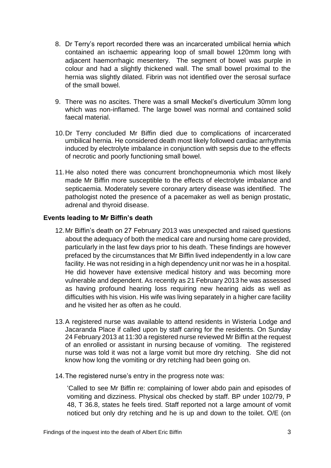- 8. Dr Terry's report recorded there was an incarcerated umbilical hernia which contained an ischaemic appearing loop of small bowel 120mm long with adjacent haemorrhagic mesentery. The segment of bowel was purple in colour and had a slightly thickened wall. The small bowel proximal to the hernia was slightly dilated. Fibrin was not identified over the serosal surface of the small bowel.
- 9. There was no ascites. There was a small Meckel's diverticulum 30mm long which was non-inflamed. The large bowel was normal and contained solid faecal material.
- 10.Dr Terry concluded Mr Biffin died due to complications of incarcerated umbilical hernia. He considered death most likely followed cardiac arrhythmia induced by electrolyte imbalance in conjunction with sepsis due to the effects of necrotic and poorly functioning small bowel.
- 11.He also noted there was concurrent bronchopneumonia which most likely made Mr Biffin more susceptible to the effects of electrolyte imbalance and septicaemia. Moderately severe coronary artery disease was identified. The pathologist noted the presence of a pacemaker as well as benign prostatic, adrenal and thyroid disease.

## **Events leading to Mr Biffin's death**

- 12.Mr Biffin's death on 27 February 2013 was unexpected and raised questions about the adequacy of both the medical care and nursing home care provided, particularly in the last few days prior to his death. These findings are however prefaced by the circumstances that Mr Biffin lived independently in a low care facility. He was not residing in a high dependency unit nor was he in a hospital. He did however have extensive medical history and was becoming more vulnerable and dependent. As recently as 21 February 2013 he was assessed as having profound hearing loss requiring new hearing aids as well as difficulties with his vision. His wife was living separately in a higher care facility and he visited her as often as he could.
- 13.A registered nurse was available to attend residents in Wisteria Lodge and Jacaranda Place if called upon by staff caring for the residents. On Sunday 24 February 2013 at 11:30 a registered nurse reviewed Mr Biffin at the request of an enrolled or assistant in nursing because of vomiting. The registered nurse was told it was not a large vomit but more dry retching. She did not know how long the vomiting or dry retching had been going on.
- 14.The registered nurse's entry in the progress note was:

'Called to see Mr Biffin re: complaining of lower abdo pain and episodes of vomiting and dizziness. Physical obs checked by staff. BP under 102/79, P 48, T 36.8, states he feels tired. Staff reported not a large amount of vomit noticed but only dry retching and he is up and down to the toilet. O/E (on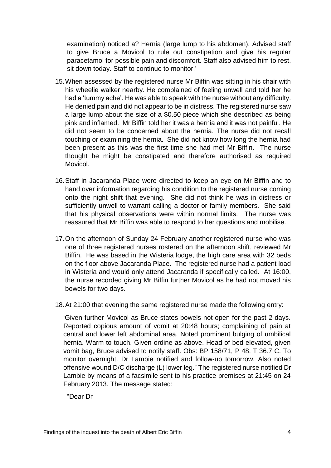examination) noticed a? Hernia (large lump to his abdomen). Advised staff to give Bruce a Movicol to rule out constipation and give his regular paracetamol for possible pain and discomfort. Staff also advised him to rest, sit down today. Staff to continue to monitor.'

- 15.When assessed by the registered nurse Mr Biffin was sitting in his chair with his wheelie walker nearby. He complained of feeling unwell and told her he had a 'tummy ache'. He was able to speak with the nurse without any difficulty. He denied pain and did not appear to be in distress. The registered nurse saw a large lump about the size of a \$0.50 piece which she described as being pink and inflamed. Mr Biffin told her it was a hernia and it was not painful. He did not seem to be concerned about the hernia. The nurse did not recall touching or examining the hernia. She did not know how long the hernia had been present as this was the first time she had met Mr Biffin. The nurse thought he might be constipated and therefore authorised as required Movicol.
- 16.Staff in Jacaranda Place were directed to keep an eye on Mr Biffin and to hand over information regarding his condition to the registered nurse coming onto the night shift that evening. She did not think he was in distress or sufficiently unwell to warrant calling a doctor or family members. She said that his physical observations were within normal limits. The nurse was reassured that Mr Biffin was able to respond to her questions and mobilise.
- 17.On the afternoon of Sunday 24 February another registered nurse who was one of three registered nurses rostered on the afternoon shift, reviewed Mr Biffin. He was based in the Wisteria lodge, the high care area with 32 beds on the floor above Jacaranda Place. The registered nurse had a patient load in Wisteria and would only attend Jacaranda if specifically called. At 16:00, the nurse recorded giving Mr Biffin further Movicol as he had not moved his bowels for two days.
- 18.At 21:00 that evening the same registered nurse made the following entry:

'Given further Movicol as Bruce states bowels not open for the past 2 days. Reported copious amount of vomit at 20:48 hours; complaining of pain at central and lower left abdominal area. Noted prominent bulging of umbilical hernia. Warm to touch. Given ordine as above. Head of bed elevated, given vomit bag, Bruce advised to notify staff. Obs: BP 158/71, P 48, T 36.7 C. To monitor overnight. Dr Lambie notified and follow-up tomorrow. Also noted offensive wound D/C discharge (L) lower leg." The registered nurse notified Dr Lambie by means of a facsimile sent to his practice premises at 21:45 on 24 February 2013. The message stated:

"Dear Dr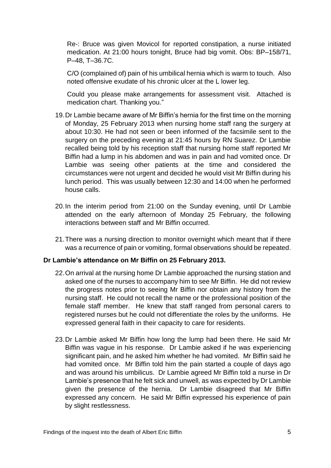Re-: Bruce was given Movicol for reported constipation, a nurse initiated medication. At 21:00 hours tonight, Bruce had big vomit. Obs: BP–158/71, P–48, T–36.7C.

C/O (complained of) pain of his umbilical hernia which is warm to touch. Also noted offensive exudate of his chronic ulcer at the L lower leg.

Could you please make arrangements for assessment visit. Attached is medication chart. Thanking you."

- 19.Dr Lambie became aware of Mr Biffin's hernia for the first time on the morning of Monday, 25 February 2013 when nursing home staff rang the surgery at about 10:30. He had not seen or been informed of the facsimile sent to the surgery on the preceding evening at 21:45 hours by RN Suarez. Dr Lambie recalled being told by his reception staff that nursing home staff reported Mr Biffin had a lump in his abdomen and was in pain and had vomited once. Dr Lambie was seeing other patients at the time and considered the circumstances were not urgent and decided he would visit Mr Biffin during his lunch period. This was usually between 12:30 and 14:00 when he performed house calls.
- 20.In the interim period from 21:00 on the Sunday evening, until Dr Lambie attended on the early afternoon of Monday 25 February, the following interactions between staff and Mr Biffin occurred.
- 21.There was a nursing direction to monitor overnight which meant that if there was a recurrence of pain or vomiting, formal observations should be repeated.

## **Dr Lambie's attendance on Mr Biffin on 25 February 2013.**

- 22.On arrival at the nursing home Dr Lambie approached the nursing station and asked one of the nurses to accompany him to see Mr Biffin. He did not review the progress notes prior to seeing Mr Biffin nor obtain any history from the nursing staff. He could not recall the name or the professional position of the female staff member. He knew that staff ranged from personal carers to registered nurses but he could not differentiate the roles by the uniforms. He expressed general faith in their capacity to care for residents.
- 23.Dr Lambie asked Mr Biffin how long the lump had been there. He said Mr Biffin was vague in his response. Dr Lambie asked if he was experiencing significant pain, and he asked him whether he had vomited. Mr Biffin said he had vomited once. Mr Biffin told him the pain started a couple of days ago and was around his umbilicus. Dr Lambie agreed Mr Biffin told a nurse in Dr Lambie's presence that he felt sick and unwell, as was expected by Dr Lambie given the presence of the hernia. Dr Lambie disagreed that Mr Biffin expressed any concern. He said Mr Biffin expressed his experience of pain by slight restlessness.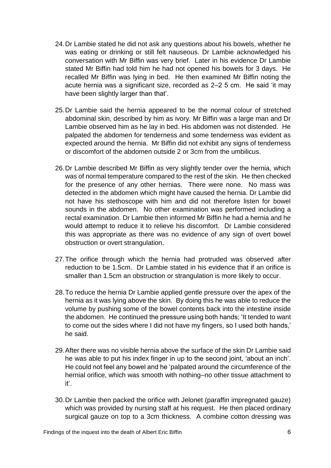- 24.Dr Lambie stated he did not ask any questions about his bowels, whether he was eating or drinking or still felt nauseous. Dr Lambie acknowledged his conversation with Mr Biffin was very brief. Later in his evidence Dr Lambie stated Mr Biffin had told him he had not opened his bowels for 3 days. He recalled Mr Biffin was lying in bed. He then examined Mr Biffin noting the acute hernia was a significant size, recorded as 2–2 5 cm. He said 'it may have been slightly larger than that'.
- 25.Dr Lambie said the hernia appeared to be the normal colour of stretched abdominal skin, described by him as ivory. Mr Biffin was a large man and Dr Lambie observed him as he lay in bed. His abdomen was not distended. He palpated the abdomen for tenderness and some tenderness was evident as expected around the hernia. Mr Biffin did not exhibit any signs of tenderness or discomfort of the abdomen outside 2 or 3cm from the umbilicus.
- 26.Dr Lambie described Mr Biffin as very slightly tender over the hernia, which was of normal temperature compared to the rest of the skin. He then checked for the presence of any other hernias. There were none. No mass was detected in the abdomen which might have caused the hernia. Dr Lambie did not have his stethoscope with him and did not therefore listen for bowel sounds in the abdomen. No other examination was performed including a rectal examination. Dr Lambie then informed Mr Biffin he had a hernia and he would attempt to reduce it to relieve his discomfort. Dr Lambie considered this was appropriate as there was no evidence of any sign of overt bowel obstruction or overt strangulation.
- 27.The orifice through which the hernia had protruded was observed after reduction to be 1.5cm. Dr Lambie stated in his evidence that if an orifice is smaller than 1.5cm an obstruction or strangulation is more likely to occur.
- 28.To reduce the hernia Dr Lambie applied gentle pressure over the apex of the hernia as it was lying above the skin. By doing this he was able to reduce the volume by pushing some of the bowel contents back into the intestine inside the abdomen. He continued the pressure using both hands; 'It tended to want to come out the sides where I did not have my fingers, so I used both hands,' he said.
- 29.After there was no visible hernia above the surface of the skin Dr Lambie said he was able to put his index finger in up to the second joint, 'about an inch'. He could not feel any bowel and he 'palpated around the circumference of the hernial orifice, which was smooth with nothing–no other tissue attachment to it'.
- 30.Dr Lambie then packed the orifice with Jelonet (paraffin impregnated gauze) which was provided by nursing staff at his request. He then placed ordinary surgical gauze on top to a 3cm thickness. A combine cotton dressing was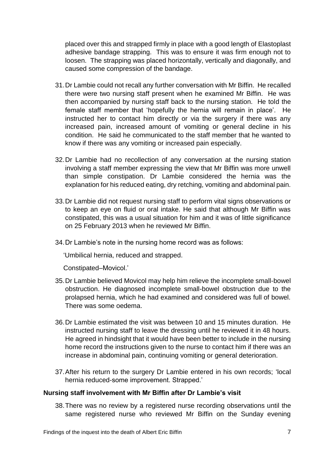placed over this and strapped firmly in place with a good length of Elastoplast adhesive bandage strapping. This was to ensure it was firm enough not to loosen. The strapping was placed horizontally, vertically and diagonally, and caused some compression of the bandage.

- 31.Dr Lambie could not recall any further conversation with Mr Biffin. He recalled there were two nursing staff present when he examined Mr Biffin. He was then accompanied by nursing staff back to the nursing station. He told the female staff member that 'hopefully the hernia will remain in place'. He instructed her to contact him directly or via the surgery if there was any increased pain, increased amount of vomiting or general decline in his condition. He said he communicated to the staff member that he wanted to know if there was any vomiting or increased pain especially.
- 32.Dr Lambie had no recollection of any conversation at the nursing station involving a staff member expressing the view that Mr Biffin was more unwell than simple constipation. Dr Lambie considered the hernia was the explanation for his reduced eating, dry retching, vomiting and abdominal pain.
- 33.Dr Lambie did not request nursing staff to perform vital signs observations or to keep an eye on fluid or oral intake. He said that although Mr Biffin was constipated, this was a usual situation for him and it was of little significance on 25 February 2013 when he reviewed Mr Biffin.
- 34.Dr Lambie's note in the nursing home record was as follows:

'Umbilical hernia, reduced and strapped.

Constipated–Movicol.'

- 35.Dr Lambie believed Movicol may help him relieve the incomplete small-bowel obstruction. He diagnosed incomplete small-bowel obstruction due to the prolapsed hernia, which he had examined and considered was full of bowel. There was some oedema.
- 36.Dr Lambie estimated the visit was between 10 and 15 minutes duration. He instructed nursing staff to leave the dressing until he reviewed it in 48 hours. He agreed in hindsight that it would have been better to include in the nursing home record the instructions given to the nurse to contact him if there was an increase in abdominal pain, continuing vomiting or general deterioration.
- 37.After his return to the surgery Dr Lambie entered in his own records; 'local hernia reduced-some improvement. Strapped.'

## **Nursing staff involvement with Mr Biffin after Dr Lambie's visit**

38.There was no review by a registered nurse recording observations until the same registered nurse who reviewed Mr Biffin on the Sunday evening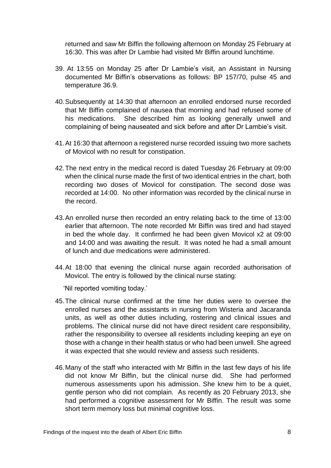returned and saw Mr Biffin the following afternoon on Monday 25 February at 16:30. This was after Dr Lambie had visited Mr Biffin around lunchtime.

- 39. At 13:55 on Monday 25 after Dr Lambie's visit, an Assistant in Nursing documented Mr Biffin's observations as follows: BP 157/70, pulse 45 and temperature 36.9.
- 40.Subsequently at 14:30 that afternoon an enrolled endorsed nurse recorded that Mr Biffin complained of nausea that morning and had refused some of his medications. She described him as looking generally unwell and complaining of being nauseated and sick before and after Dr Lambie's visit.
- 41.At 16:30 that afternoon a registered nurse recorded issuing two more sachets of Movicol with no result for constipation.
- 42.The next entry in the medical record is dated Tuesday 26 February at 09:00 when the clinical nurse made the first of two identical entries in the chart, both recording two doses of Movicol for constipation. The second dose was recorded at 14:00. No other information was recorded by the clinical nurse in the record.
- 43.An enrolled nurse then recorded an entry relating back to the time of 13:00 earlier that afternoon. The note recorded Mr Biffin was tired and had stayed in bed the whole day. It confirmed he had been given Movicol x2 at 09:00 and 14:00 and was awaiting the result. It was noted he had a small amount of lunch and due medications were administered.
- 44.At 18:00 that evening the clinical nurse again recorded authorisation of Movicol. The entry is followed by the clinical nurse stating:

'Nil reported vomiting today.'

- 45.The clinical nurse confirmed at the time her duties were to oversee the enrolled nurses and the assistants in nursing from Wisteria and Jacaranda units, as well as other duties including, rostering and clinical issues and problems. The clinical nurse did not have direct resident care responsibility, rather the responsibility to oversee all residents including keeping an eye on those with a change in their health status or who had been unwell. She agreed it was expected that she would review and assess such residents.
- 46.Many of the staff who interacted with Mr Biffin in the last few days of his life did not know Mr Biffin, but the clinical nurse did. She had performed numerous assessments upon his admission. She knew him to be a quiet, gentle person who did not complain. As recently as 20 February 2013, she had performed a cognitive assessment for Mr Biffin. The result was some short term memory loss but minimal cognitive loss.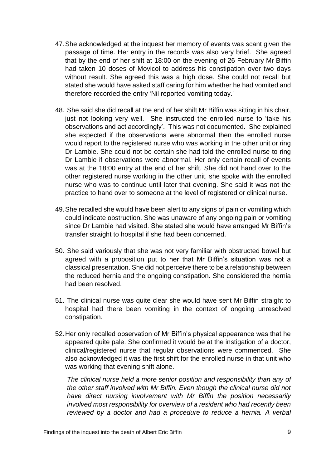- 47.She acknowledged at the inquest her memory of events was scant given the passage of time. Her entry in the records was also very brief. She agreed that by the end of her shift at 18:00 on the evening of 26 February Mr Biffin had taken 10 doses of Movicol to address his constipation over two days without result. She agreed this was a high dose. She could not recall but stated she would have asked staff caring for him whether he had vomited and therefore recorded the entry 'Nil reported vomiting today.'
- 48. She said she did recall at the end of her shift Mr Biffin was sitting in his chair, just not looking very well. She instructed the enrolled nurse to 'take his observations and act accordingly'. This was not documented. She explained she expected if the observations were abnormal then the enrolled nurse would report to the registered nurse who was working in the other unit or ring Dr Lambie. She could not be certain she had told the enrolled nurse to ring Dr Lambie if observations were abnormal. Her only certain recall of events was at the 18:00 entry at the end of her shift. She did not hand over to the other registered nurse working in the other unit, she spoke with the enrolled nurse who was to continue until later that evening. She said it was not the practice to hand over to someone at the level of registered or clinical nurse.
- 49.She recalled she would have been alert to any signs of pain or vomiting which could indicate obstruction. She was unaware of any ongoing pain or vomiting since Dr Lambie had visited. She stated she would have arranged Mr Biffin's transfer straight to hospital if she had been concerned.
- 50. She said variously that she was not very familiar with obstructed bowel but agreed with a proposition put to her that Mr Biffin's situation was not a classical presentation. She did not perceive there to be a relationship between the reduced hernia and the ongoing constipation. She considered the hernia had been resolved.
- 51. The clinical nurse was quite clear she would have sent Mr Biffin straight to hospital had there been vomiting in the context of ongoing unresolved constipation.
- 52.Her only recalled observation of Mr Biffin's physical appearance was that he appeared quite pale. She confirmed it would be at the instigation of a doctor, clinical/registered nurse that regular observations were commenced. She also acknowledged it was the first shift for the enrolled nurse in that unit who was working that evening shift alone.

*The clinical nurse held a more senior position and responsibility than any of the other staff involved with Mr Biffin. Even though the clinical nurse did not have direct nursing involvement with Mr Biffin the position necessarily involved most responsibility for overview of a resident who had recently been reviewed by a doctor and had a procedure to reduce a hernia. A verbal*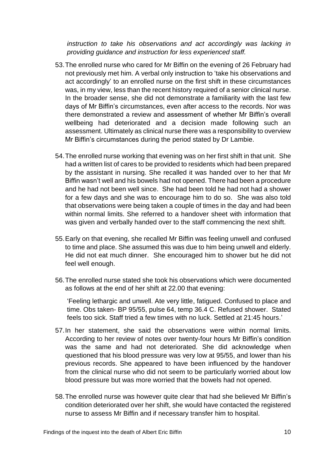*instruction to take his observations and act accordingly was lacking in providing guidance and instruction for less experienced staff.*

- 53.The enrolled nurse who cared for Mr Biffin on the evening of 26 February had not previously met him. A verbal only instruction to 'take his observations and act accordingly' to an enrolled nurse on the first shift in these circumstances was, in my view, less than the recent history required of a senior clinical nurse. In the broader sense, she did not demonstrate a familiarity with the last few days of Mr Biffin's circumstances, even after access to the records. Nor was there demonstrated a review and assessment of whether Mr Biffin's overall wellbeing had deteriorated and a decision made following such an assessment. Ultimately as clinical nurse there was a responsibility to overview Mr Biffin's circumstances during the period stated by Dr Lambie.
- 54.The enrolled nurse working that evening was on her first shift in that unit. She had a written list of cares to be provided to residents which had been prepared by the assistant in nursing. She recalled it was handed over to her that Mr Biffin wasn't well and his bowels had not opened. There had been a procedure and he had not been well since. She had been told he had not had a shower for a few days and she was to encourage him to do so. She was also told that observations were being taken a couple of times in the day and had been within normal limits. She referred to a handover sheet with information that was given and verbally handed over to the staff commencing the next shift.
- 55.Early on that evening, she recalled Mr Biffin was feeling unwell and confused to time and place. She assumed this was due to him being unwell and elderly. He did not eat much dinner. She encouraged him to shower but he did not feel well enough.
- 56.The enrolled nurse stated she took his observations which were documented as follows at the end of her shift at 22.00 that evening:

'Feeling lethargic and unwell. Ate very little, fatigued. Confused to place and time. Obs taken- BP 95/55, pulse 64, temp 36.4 C. Refused shower. Stated feels too sick. Staff tried a few times with no luck. Settled at 21:45 hours.'

- 57.In her statement, she said the observations were within normal limits. According to her review of notes over twenty-four hours Mr Biffin's condition was the same and had not deteriorated. She did acknowledge when questioned that his blood pressure was very low at 95/55, and lower than his previous records. She appeared to have been influenced by the handover from the clinical nurse who did not seem to be particularly worried about low blood pressure but was more worried that the bowels had not opened.
- 58.The enrolled nurse was however quite clear that had she believed Mr Biffin's condition deteriorated over her shift, she would have contacted the registered nurse to assess Mr Biffin and if necessary transfer him to hospital.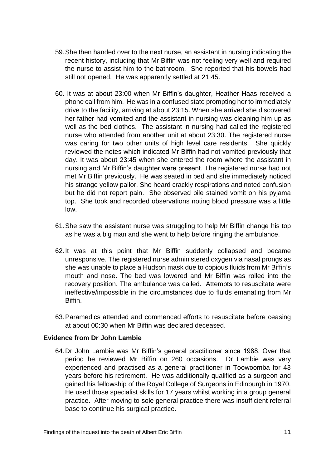- 59.She then handed over to the next nurse, an assistant in nursing indicating the recent history, including that Mr Biffin was not feeling very well and required the nurse to assist him to the bathroom. She reported that his bowels had still not opened. He was apparently settled at 21:45.
- 60. It was at about 23:00 when Mr Biffin's daughter, Heather Haas received a phone call from him. He was in a confused state prompting her to immediately drive to the facility, arriving at about 23:15. When she arrived she discovered her father had vomited and the assistant in nursing was cleaning him up as well as the bed clothes. The assistant in nursing had called the registered nurse who attended from another unit at about 23:30. The registered nurse was caring for two other units of high level care residents. She quickly reviewed the notes which indicated Mr Biffin had not vomited previously that day. It was about 23:45 when she entered the room where the assistant in nursing and Mr Biffin's daughter were present. The registered nurse had not met Mr Biffin previously. He was seated in bed and she immediately noticed his strange yellow pallor. She heard crackly respirations and noted confusion but he did not report pain. She observed bile stained vomit on his pyjama top. She took and recorded observations noting blood pressure was a little low.
- 61.She saw the assistant nurse was struggling to help Mr Biffin change his top as he was a big man and she went to help before ringing the ambulance.
- 62.It was at this point that Mr Biffin suddenly collapsed and became unresponsive. The registered nurse administered oxygen via nasal prongs as she was unable to place a Hudson mask due to copious fluids from Mr Biffin's mouth and nose. The bed was lowered and Mr Biffin was rolled into the recovery position. The ambulance was called. Attempts to resuscitate were ineffective/impossible in the circumstances due to fluids emanating from Mr Biffin.
- 63.Paramedics attended and commenced efforts to resuscitate before ceasing at about 00:30 when Mr Biffin was declared deceased.

## **Evidence from Dr John Lambie**

64.Dr John Lambie was Mr Biffin's general practitioner since 1988. Over that period he reviewed Mr Biffin on 260 occasions. Dr Lambie was very experienced and practised as a general practitioner in Toowoomba for 43 years before his retirement. He was additionally qualified as a surgeon and gained his fellowship of the Royal College of Surgeons in Edinburgh in 1970. He used those specialist skills for 17 years whilst working in a group general practice. After moving to sole general practice there was insufficient referral base to continue his surgical practice.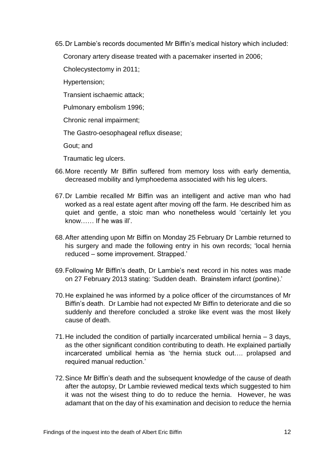65.Dr Lambie's records documented Mr Biffin's medical history which included:

Coronary artery disease treated with a pacemaker inserted in 2006;

Cholecystectomy in 2011;

Hypertension;

Transient ischaemic attack;

Pulmonary embolism 1996;

Chronic renal impairment;

The Gastro-oesophageal reflux disease;

Gout; and

Traumatic leg ulcers.

- 66.More recently Mr Biffin suffered from memory loss with early dementia, decreased mobility and lymphoedema associated with his leg ulcers.
- 67.Dr Lambie recalled Mr Biffin was an intelligent and active man who had worked as a real estate agent after moving off the farm. He described him as quiet and gentle, a stoic man who nonetheless would 'certainly let you know…… If he was ill'.
- 68.After attending upon Mr Biffin on Monday 25 February Dr Lambie returned to his surgery and made the following entry in his own records; 'local hernia reduced – some improvement. Strapped.'
- 69.Following Mr Biffin's death, Dr Lambie's next record in his notes was made on 27 February 2013 stating: 'Sudden death. Brainstem infarct (pontine).'
- 70.He explained he was informed by a police officer of the circumstances of Mr Biffin's death. Dr Lambie had not expected Mr Biffin to deteriorate and die so suddenly and therefore concluded a stroke like event was the most likely cause of death.
- 71.He included the condition of partially incarcerated umbilical hernia 3 days, as the other significant condition contributing to death. He explained partially incarcerated umbilical hernia as 'the hernia stuck out…. prolapsed and required manual reduction.'
- 72.Since Mr Biffin's death and the subsequent knowledge of the cause of death after the autopsy, Dr Lambie reviewed medical texts which suggested to him it was not the wisest thing to do to reduce the hernia. However, he was adamant that on the day of his examination and decision to reduce the hernia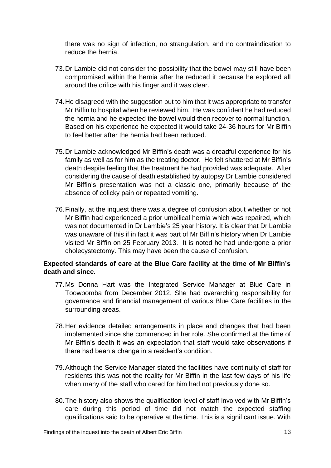there was no sign of infection, no strangulation, and no contraindication to reduce the hernia.

- 73.Dr Lambie did not consider the possibility that the bowel may still have been compromised within the hernia after he reduced it because he explored all around the orifice with his finger and it was clear.
- 74.He disagreed with the suggestion put to him that it was appropriate to transfer Mr Biffin to hospital when he reviewed him. He was confident he had reduced the hernia and he expected the bowel would then recover to normal function. Based on his experience he expected it would take 24-36 hours for Mr Biffin to feel better after the hernia had been reduced.
- 75.Dr Lambie acknowledged Mr Biffin's death was a dreadful experience for his family as well as for him as the treating doctor. He felt shattered at Mr Biffin's death despite feeling that the treatment he had provided was adequate. After considering the cause of death established by autopsy Dr Lambie considered Mr Biffin's presentation was not a classic one, primarily because of the absence of colicky pain or repeated vomiting.
- 76.Finally, at the inquest there was a degree of confusion about whether or not Mr Biffin had experienced a prior umbilical hernia which was repaired, which was not documented in Dr Lambie's 25 year history. It is clear that Dr Lambie was unaware of this if in fact it was part of Mr Biffin's history when Dr Lambie visited Mr Biffin on 25 February 2013. It is noted he had undergone a prior cholecystectomy. This may have been the cause of confusion.

## **Expected standards of care at the Blue Care facility at the time of Mr Biffin's death and since.**

- 77.Ms Donna Hart was the Integrated Service Manager at Blue Care in Toowoomba from December 2012. She had overarching responsibility for governance and financial management of various Blue Care facilities in the surrounding areas.
- 78.Her evidence detailed arrangements in place and changes that had been implemented since she commenced in her role. She confirmed at the time of Mr Biffin's death it was an expectation that staff would take observations if there had been a change in a resident's condition.
- 79.Although the Service Manager stated the facilities have continuity of staff for residents this was not the reality for Mr Biffin in the last few days of his life when many of the staff who cared for him had not previously done so.
- 80.The history also shows the qualification level of staff involved with Mr Biffin's care during this period of time did not match the expected staffing qualifications said to be operative at the time. This is a significant issue. With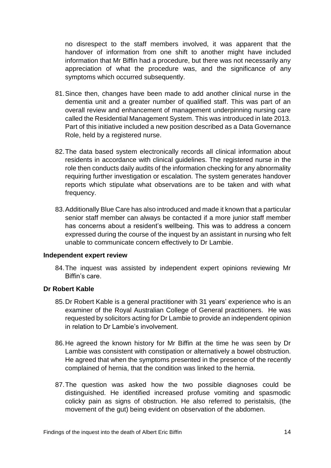no disrespect to the staff members involved, it was apparent that the handover of information from one shift to another might have included information that Mr Biffin had a procedure, but there was not necessarily any appreciation of what the procedure was, and the significance of any symptoms which occurred subsequently.

- 81.Since then, changes have been made to add another clinical nurse in the dementia unit and a greater number of qualified staff. This was part of an overall review and enhancement of management underpinning nursing care called the Residential Management System. This was introduced in late 2013. Part of this initiative included a new position described as a Data Governance Role, held by a registered nurse.
- 82.The data based system electronically records all clinical information about residents in accordance with clinical guidelines. The registered nurse in the role then conducts daily audits of the information checking for any abnormality requiring further investigation or escalation. The system generates handover reports which stipulate what observations are to be taken and with what frequency.
- 83.Additionally Blue Care has also introduced and made it known that a particular senior staff member can always be contacted if a more junior staff member has concerns about a resident's wellbeing. This was to address a concern expressed during the course of the inquest by an assistant in nursing who felt unable to communicate concern effectively to Dr Lambie.

## **Independent expert review**

84.The inquest was assisted by independent expert opinions reviewing Mr Biffin's care.

## **Dr Robert Kable**

- 85.Dr Robert Kable is a general practitioner with 31 years' experience who is an examiner of the Royal Australian College of General practitioners. He was requested by solicitors acting for Dr Lambie to provide an independent opinion in relation to Dr Lambie's involvement.
- 86.He agreed the known history for Mr Biffin at the time he was seen by Dr Lambie was consistent with constipation or alternatively a bowel obstruction. He agreed that when the symptoms presented in the presence of the recently complained of hernia, that the condition was linked to the hernia.
- 87.The question was asked how the two possible diagnoses could be distinguished. He identified increased profuse vomiting and spasmodic colicky pain as signs of obstruction. He also referred to peristalsis, (the movement of the gut) being evident on observation of the abdomen.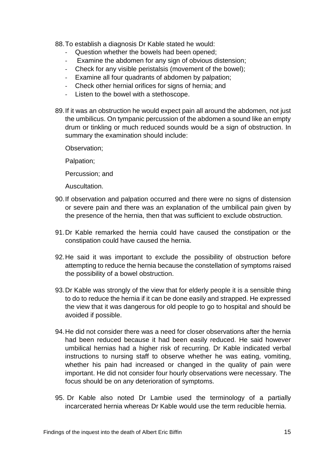88.To establish a diagnosis Dr Kable stated he would:

- Question whether the bowels had been opened;
- Examine the abdomen for any sign of obvious distension;
- Check for any visible peristalsis (movement of the bowel);
- Examine all four quadrants of abdomen by palpation;
- Check other hernial orifices for signs of hernia; and
- Listen to the bowel with a stethoscope.
- 89.If it was an obstruction he would expect pain all around the abdomen, not just the umbilicus. On tympanic percussion of the abdomen a sound like an empty drum or tinkling or much reduced sounds would be a sign of obstruction. In summary the examination should include:

Observation;

Palpation;

Percussion; and

Auscultation.

- 90.If observation and palpation occurred and there were no signs of distension or severe pain and there was an explanation of the umbilical pain given by the presence of the hernia, then that was sufficient to exclude obstruction.
- 91.Dr Kable remarked the hernia could have caused the constipation or the constipation could have caused the hernia.
- 92.He said it was important to exclude the possibility of obstruction before attempting to reduce the hernia because the constellation of symptoms raised the possibility of a bowel obstruction.
- 93.Dr Kable was strongly of the view that for elderly people it is a sensible thing to do to reduce the hernia if it can be done easily and strapped. He expressed the view that it was dangerous for old people to go to hospital and should be avoided if possible.
- 94.He did not consider there was a need for closer observations after the hernia had been reduced because it had been easily reduced. He said however umbilical hernias had a higher risk of recurring. Dr Kable indicated verbal instructions to nursing staff to observe whether he was eating, vomiting, whether his pain had increased or changed in the quality of pain were important. He did not consider four hourly observations were necessary. The focus should be on any deterioration of symptoms.
- 95. Dr Kable also noted Dr Lambie used the terminology of a partially incarcerated hernia whereas Dr Kable would use the term reducible hernia.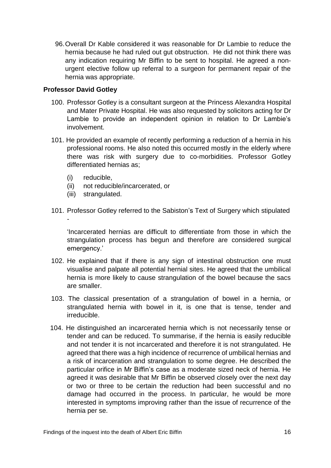96.Overall Dr Kable considered it was reasonable for Dr Lambie to reduce the hernia because he had ruled out gut obstruction. He did not think there was any indication requiring Mr Biffin to be sent to hospital. He agreed a nonurgent elective follow up referral to a surgeon for permanent repair of the hernia was appropriate.

## **Professor David Gotley**

- 100. Professor Gotley is a consultant surgeon at the Princess Alexandra Hospital and Mater Private Hospital. He was also requested by solicitors acting for Dr Lambie to provide an independent opinion in relation to Dr Lambie's involvement.
- 101. He provided an example of recently performing a reduction of a hernia in his professional rooms. He also noted this occurred mostly in the elderly where there was risk with surgery due to co-morbidities. Professor Gotley differentiated hernias as;
	- (i) reducible,
	- (ii) not reducible/incarcerated, or
	- (iii) strangulated.
- 101. Professor Gotley referred to the Sabiston's Text of Surgery which stipulated -

'Incarcerated hernias are difficult to differentiate from those in which the strangulation process has begun and therefore are considered surgical emergency.'

- 102. He explained that if there is any sign of intestinal obstruction one must visualise and palpate all potential hernial sites. He agreed that the umbilical hernia is more likely to cause strangulation of the bowel because the sacs are smaller.
- 103. The classical presentation of a strangulation of bowel in a hernia, or strangulated hernia with bowel in it, is one that is tense, tender and irreducible.
- 104. He distinguished an incarcerated hernia which is not necessarily tense or tender and can be reduced. To summarise, if the hernia is easily reducible and not tender it is not incarcerated and therefore it is not strangulated. He agreed that there was a high incidence of recurrence of umbilical hernias and a risk of incarceration and strangulation to some degree. He described the particular orifice in Mr Biffin's case as a moderate sized neck of hernia. He agreed it was desirable that Mr Biffin be observed closely over the next day or two or three to be certain the reduction had been successful and no damage had occurred in the process. In particular, he would be more interested in symptoms improving rather than the issue of recurrence of the hernia per se.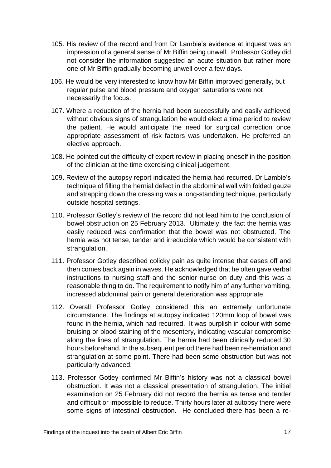- 105. His review of the record and from Dr Lambie's evidence at inquest was an impression of a general sense of Mr Biffin being unwell. Professor Gotley did not consider the information suggested an acute situation but rather more one of Mr Biffin gradually becoming unwell over a few days.
- 106. He would be very interested to know how Mr Biffin improved generally, but regular pulse and blood pressure and oxygen saturations were not necessarily the focus.
- 107. Where a reduction of the hernia had been successfully and easily achieved without obvious signs of strangulation he would elect a time period to review the patient. He would anticipate the need for surgical correction once appropriate assessment of risk factors was undertaken. He preferred an elective approach.
- 108. He pointed out the difficulty of expert review in placing oneself in the position of the clinician at the time exercising clinical judgement.
- 109. Review of the autopsy report indicated the hernia had recurred. Dr Lambie's technique of filling the hernial defect in the abdominal wall with folded gauze and strapping down the dressing was a long-standing technique, particularly outside hospital settings.
- 110. Professor Gotley's review of the record did not lead him to the conclusion of bowel obstruction on 25 February 2013. Ultimately, the fact the hernia was easily reduced was confirmation that the bowel was not obstructed. The hernia was not tense, tender and irreducible which would be consistent with strangulation.
- 111. Professor Gotley described colicky pain as quite intense that eases off and then comes back again in waves. He acknowledged that he often gave verbal instructions to nursing staff and the senior nurse on duty and this was a reasonable thing to do. The requirement to notify him of any further vomiting, increased abdominal pain or general deterioration was appropriate.
- 112. Overall Professor Gotley considered this an extremely unfortunate circumstance. The findings at autopsy indicated 120mm loop of bowel was found in the hernia, which had recurred. It was purplish in colour with some bruising or blood staining of the mesentery, indicating vascular compromise along the lines of strangulation. The hernia had been clinically reduced 30 hours beforehand. In the subsequent period there had been re-herniation and strangulation at some point. There had been some obstruction but was not particularly advanced.
- 113. Professor Gotley confirmed Mr Biffin's history was not a classical bowel obstruction. It was not a classical presentation of strangulation. The initial examination on 25 February did not record the hernia as tense and tender and difficult or impossible to reduce. Thirty hours later at autopsy there were some signs of intestinal obstruction. He concluded there has been a re-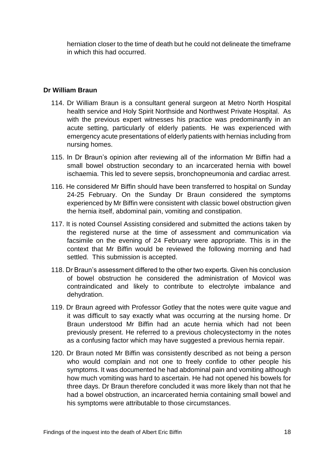herniation closer to the time of death but he could not delineate the timeframe in which this had occurred.

## **Dr William Braun**

- 114. Dr William Braun is a consultant general surgeon at Metro North Hospital health service and Holy Spirit Northside and Northwest Private Hospital. As with the previous expert witnesses his practice was predominantly in an acute setting, particularly of elderly patients. He was experienced with emergency acute presentations of elderly patients with hernias including from nursing homes.
- 115. In Dr Braun's opinion after reviewing all of the information Mr Biffin had a small bowel obstruction secondary to an incarcerated hernia with bowel ischaemia. This led to severe sepsis, bronchopneumonia and cardiac arrest.
- 116. He considered Mr Biffin should have been transferred to hospital on Sunday 24-25 February. On the Sunday Dr Braun considered the symptoms experienced by Mr Biffin were consistent with classic bowel obstruction given the hernia itself, abdominal pain, vomiting and constipation.
- 117. It is noted Counsel Assisting considered and submitted the actions taken by the registered nurse at the time of assessment and communication via facsimile on the evening of 24 February were appropriate. This is in the context that Mr Biffin would be reviewed the following morning and had settled. This submission is accepted.
- 118. Dr Braun's assessment differed to the other two experts. Given his conclusion of bowel obstruction he considered the administration of Movicol was contraindicated and likely to contribute to electrolyte imbalance and dehydration.
- 119. Dr Braun agreed with Professor Gotley that the notes were quite vague and it was difficult to say exactly what was occurring at the nursing home. Dr Braun understood Mr Biffin had an acute hernia which had not been previously present. He referred to a previous cholecystectomy in the notes as a confusing factor which may have suggested a previous hernia repair.
- 120. Dr Braun noted Mr Biffin was consistently described as not being a person who would complain and not one to freely confide to other people his symptoms. It was documented he had abdominal pain and vomiting although how much vomiting was hard to ascertain. He had not opened his bowels for three days. Dr Braun therefore concluded it was more likely than not that he had a bowel obstruction, an incarcerated hernia containing small bowel and his symptoms were attributable to those circumstances.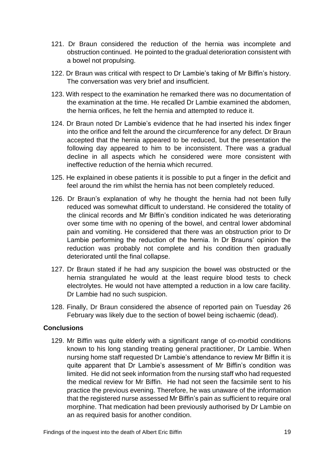- 121. Dr Braun considered the reduction of the hernia was incomplete and obstruction continued. He pointed to the gradual deterioration consistent with a bowel not propulsing.
- 122. Dr Braun was critical with respect to Dr Lambie's taking of Mr Biffin's history. The conversation was very brief and insufficient.
- 123. With respect to the examination he remarked there was no documentation of the examination at the time. He recalled Dr Lambie examined the abdomen, the hernia orifices, he felt the hernia and attempted to reduce it.
- 124. Dr Braun noted Dr Lambie's evidence that he had inserted his index finger into the orifice and felt the around the circumference for any defect. Dr Braun accepted that the hernia appeared to be reduced, but the presentation the following day appeared to him to be inconsistent. There was a gradual decline in all aspects which he considered were more consistent with ineffective reduction of the hernia which recurred.
- 125. He explained in obese patients it is possible to put a finger in the deficit and feel around the rim whilst the hernia has not been completely reduced.
- 126. Dr Braun's explanation of why he thought the hernia had not been fully reduced was somewhat difficult to understand. He considered the totality of the clinical records and Mr Biffin's condition indicated he was deteriorating over some time with no opening of the bowel, and central lower abdominal pain and vomiting. He considered that there was an obstruction prior to Dr Lambie performing the reduction of the hernia. In Dr Brauns' opinion the reduction was probably not complete and his condition then gradually deteriorated until the final collapse.
- 127. Dr Braun stated if he had any suspicion the bowel was obstructed or the hernia strangulated he would at the least require blood tests to check electrolytes. He would not have attempted a reduction in a low care facility. Dr Lambie had no such suspicion.
- 128. Finally, Dr Braun considered the absence of reported pain on Tuesday 26 February was likely due to the section of bowel being ischaemic (dead).

## **Conclusions**

129. Mr Biffin was quite elderly with a significant range of co-morbid conditions known to his long standing treating general practitioner, Dr Lambie. When nursing home staff requested Dr Lambie's attendance to review Mr Biffin it is quite apparent that Dr Lambie's assessment of Mr Biffin's condition was limited. He did not seek information from the nursing staff who had requested the medical review for Mr Biffin. He had not seen the facsimile sent to his practice the previous evening. Therefore, he was unaware of the information that the registered nurse assessed Mr Biffin's pain as sufficient to require oral morphine. That medication had been previously authorised by Dr Lambie on an as required basis for another condition.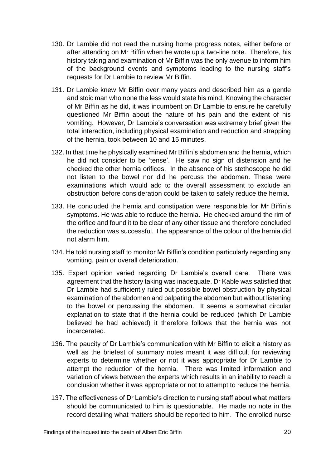- 130. Dr Lambie did not read the nursing home progress notes, either before or after attending on Mr Biffin when he wrote up a two-line note. Therefore, his history taking and examination of Mr Biffin was the only avenue to inform him of the background events and symptoms leading to the nursing staff's requests for Dr Lambie to review Mr Biffin.
- 131. Dr Lambie knew Mr Biffin over many years and described him as a gentle and stoic man who none the less would state his mind. Knowing the character of Mr Biffin as he did, it was incumbent on Dr Lambie to ensure he carefully questioned Mr Biffin about the nature of his pain and the extent of his vomiting. However, Dr Lambie's conversation was extremely brief given the total interaction, including physical examination and reduction and strapping of the hernia, took between 10 and 15 minutes.
- 132. In that time he physically examined Mr Biffin's abdomen and the hernia, which he did not consider to be 'tense'. He saw no sign of distension and he checked the other hernia orifices. In the absence of his stethoscope he did not listen to the bowel nor did he percuss the abdomen. These were examinations which would add to the overall assessment to exclude an obstruction before consideration could be taken to safely reduce the hernia.
- 133. He concluded the hernia and constipation were responsible for Mr Biffin's symptoms. He was able to reduce the hernia. He checked around the rim of the orifice and found it to be clear of any other tissue and therefore concluded the reduction was successful. The appearance of the colour of the hernia did not alarm him.
- 134. He told nursing staff to monitor Mr Biffin's condition particularly regarding any vomiting, pain or overall deterioration.
- 135. Expert opinion varied regarding Dr Lambie's overall care. There was agreement that the history taking was inadequate. Dr Kable was satisfied that Dr Lambie had sufficiently ruled out possible bowel obstruction by physical examination of the abdomen and palpating the abdomen but without listening to the bowel or percussing the abdomen. It seems a somewhat circular explanation to state that if the hernia could be reduced (which Dr Lambie believed he had achieved) it therefore follows that the hernia was not incarcerated.
- 136. The paucity of Dr Lambie's communication with Mr Biffin to elicit a history as well as the briefest of summary notes meant it was difficult for reviewing experts to determine whether or not it was appropriate for Dr Lambie to attempt the reduction of the hernia. There was limited information and variation of views between the experts which results in an inability to reach a conclusion whether it was appropriate or not to attempt to reduce the hernia.
- 137. The effectiveness of Dr Lambie's direction to nursing staff about what matters should be communicated to him is questionable. He made no note in the record detailing what matters should be reported to him. The enrolled nurse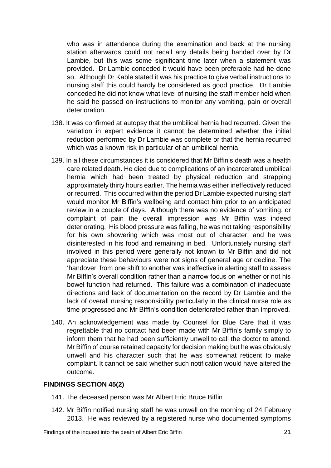who was in attendance during the examination and back at the nursing station afterwards could not recall any details being handed over by Dr Lambie, but this was some significant time later when a statement was provided. Dr Lambie conceded it would have been preferable had he done so. Although Dr Kable stated it was his practice to give verbal instructions to nursing staff this could hardly be considered as good practice. Dr Lambie conceded he did not know what level of nursing the staff member held when he said he passed on instructions to monitor any vomiting, pain or overall deterioration.

- 138. It was confirmed at autopsy that the umbilical hernia had recurred. Given the variation in expert evidence it cannot be determined whether the initial reduction performed by Dr Lambie was complete or that the hernia recurred which was a known risk in particular of an umbilical hernia.
- 139. In all these circumstances it is considered that Mr Biffin's death was a health care related death. He died due to complications of an incarcerated umbilical hernia which had been treated by physical reduction and strapping approximately thirty hours earlier. The hernia was either ineffectively reduced or recurred. This occurred within the period Dr Lambie expected nursing staff would monitor Mr Biffin's wellbeing and contact him prior to an anticipated review in a couple of days. Although there was no evidence of vomiting, or complaint of pain the overall impression was Mr Biffin was indeed deteriorating. His blood pressure was falling, he was not taking responsibility for his own showering which was most out of character, and he was disinterested in his food and remaining in bed. Unfortunately nursing staff involved in this period were generally not known to Mr Biffin and did not appreciate these behaviours were not signs of general age or decline. The 'handover' from one shift to another was ineffective in alerting staff to assess Mr Biffin's overall condition rather than a narrow focus on whether or not his bowel function had returned. This failure was a combination of inadequate directions and lack of documentation on the record by Dr Lambie and the lack of overall nursing responsibility particularly in the clinical nurse role as time progressed and Mr Biffin's condition deteriorated rather than improved.
- 140. An acknowledgement was made by Counsel for Blue Care that it was regrettable that no contact had been made with Mr Biffin's family simply to inform them that he had been sufficiently unwell to call the doctor to attend. Mr Biffin of course retained capacity for decision making but he was obviously unwell and his character such that he was somewhat reticent to make complaint. It cannot be said whether such notification would have altered the outcome.

## **FINDINGS SECTION 45(2)**

- 141. The deceased person was Mr Albert Eric Bruce Biffin
- 142. Mr Biffin notified nursing staff he was unwell on the morning of 24 February 2013. He was reviewed by a registered nurse who documented symptoms

Findings of the inquest into the death of Albert Eric Biffin 21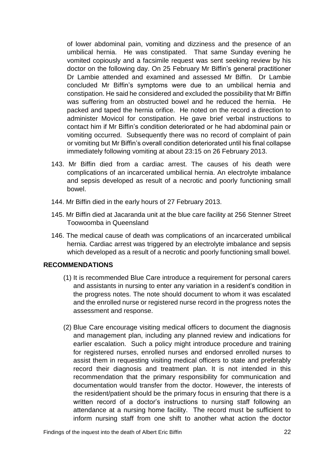of lower abdominal pain, vomiting and dizziness and the presence of an umbilical hernia. He was constipated. That same Sunday evening he vomited copiously and a facsimile request was sent seeking review by his doctor on the following day. On 25 February Mr Biffin's general practitioner Dr Lambie attended and examined and assessed Mr Biffin. Dr Lambie concluded Mr Biffin's symptoms were due to an umbilical hernia and constipation. He said he considered and excluded the possibility that Mr Biffin was suffering from an obstructed bowel and he reduced the hernia. He packed and taped the hernia orifice. He noted on the record a direction to administer Movicol for constipation. He gave brief verbal instructions to contact him if Mr Biffin's condition deteriorated or he had abdominal pain or vomiting occurred. Subsequently there was no record of complaint of pain or vomiting but Mr Biffin's overall condition deteriorated until his final collapse immediately following vomiting at about 23:15 on 26 February 2013.

- 143. Mr Biffin died from a cardiac arrest. The causes of his death were complications of an incarcerated umbilical hernia. An electrolyte imbalance and sepsis developed as result of a necrotic and poorly functioning small bowel.
- 144. Mr Biffin died in the early hours of 27 February 2013.
- 145. Mr Biffin died at Jacaranda unit at the blue care facility at 256 Stenner Street Toowoomba in Queensland
- 146. The medical cause of death was complications of an incarcerated umbilical hernia. Cardiac arrest was triggered by an electrolyte imbalance and sepsis which developed as a result of a necrotic and poorly functioning small bowel.

## **RECOMMENDATIONS**

- (1) It is recommended Blue Care introduce a requirement for personal carers and assistants in nursing to enter any variation in a resident's condition in the progress notes. The note should document to whom it was escalated and the enrolled nurse or registered nurse record in the progress notes the assessment and response.
- (2) Blue Care encourage visiting medical officers to document the diagnosis and management plan, including any planned review and indications for earlier escalation. Such a policy might introduce procedure and training for registered nurses, enrolled nurses and endorsed enrolled nurses to assist them in requesting visiting medical officers to state and preferably record their diagnosis and treatment plan. It is not intended in this recommendation that the primary responsibility for communication and documentation would transfer from the doctor. However, the interests of the resident/patient should be the primary focus in ensuring that there is a written record of a doctor's instructions to nursing staff following an attendance at a nursing home facility. The record must be sufficient to inform nursing staff from one shift to another what action the doctor